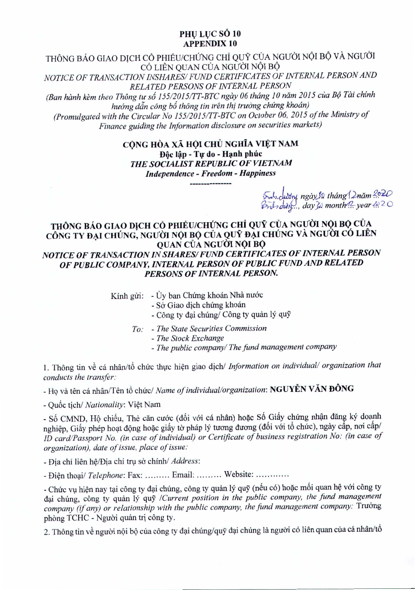## PHU LUC SÓ 10 APPENDIX 10

THÔNG BÁO GIAO DỊCH CỔ PHIẾU/CHỨNG CHỈ QUỸ CỦA NGƯỜI NỘI BỘ VÀ NGƯỜI CÓ LIÊN QUAN CỦA NGƯỜI NỘI BỘ *NOTICE OF TRANSACTION INSHARES/ FUND CERTIFICATES OF INTERNAL PERSON AND RELATED PERSONS OF INTERNAL PERSON (Ban hanh kem theo Thong tu* s6 *155/2015ITT-BTC ngay 06 thdng 10 nam 2015 cua B6 Tai chinh huang ddn cong b6 thong tin tren thi truang chung khoan) (Promulgated with the Circular No I 55/20J5/TT-BTC on October 06, 2015 of the Ministry of Finance guiding the Information disclosure on securities markets)*

> CÔNG HÒA XÃ HỘI CHỦ NGHĨA VIẾT NAM Độc lập - Tư do - Hạnh phúc *THE SOCIALIST REPUBLIC OF VIETNAM Independence - Freedom - Happiness*

*!};.h.ckFf ngayJfJ thang12.nam~~*  $\cancel{(m_1, m_2,..., day)}$  *month<sup>1</sup>? year ??* 20

## THÔNG BÁO GIAO DỊCH CỎ PHIẾU/CHỨNG CHỈ QUỸ CỦA NGƯỜI NỘI BỘ CỦA CÔNG TY ĐẠI CHÚNG, NGƯỜI NỘI BỘ CỦA QUY ĐẠI CHÚNG VÀ NGƯỜI CÓ LIÊN QUAN CỦA NGUỜI NỘI BỘ *NOTICE OF TRANSACTION IN SHARES/FUND CERTIFICATES OF INTERNAL PERSON OF PUBLIC COMPANY, INTERNAL PERSON OF PUBLIC FUND AND RELATED PERSONS OF INTERNAL PERSON.*

- Kính gửi: Ủy ban Chứng khoán Nhà nước
	- Sở Giao dịch chứng khoán
	- Công ty đại chúng/ Công ty quản lý quỹ
	- *To: The State Securities Commission*
		- *- The Stock Exchange*
		- *The public company/ The fund management company*

1. Thông tin về cá nhân/tổ chức thực hiện giao dịch/ *Information on individual/ organization that conducts the transfer:*

- Họ và tên cá nhân/Tên tổ chức/ *Name of individual/organization*: NGUYỄN VĂN ĐÔNG

- Quốc tịch/ Nationality: Việt Nam

- Số CMND, Hộ chiếu, Thẻ căn cước (đối với cá nhân) hoặc Số Giấy chứng nhận đăng ký doanh nghiệp, Giấy phép hoạt động hoặc giấy tờ pháp lý tương đương (đối với tổ chức), ngày cấp, nơi cấp/ *JD card/Passport No. (in case of individual) or Certificate of business registration No: (in case of organization), date of issue, place of issue:*

- Đia chi liên hê/Đia chi trụ sở chính/ Address:

- Điện thoại/ Telephone: Fax: ......... Email: ......... Website: ............

- Chức vụ hiện nay tại công ty đại chúng, công ty quản lý quỹ (nếu có) hoặc mối quan hệ với công ty dai chúng, công ty quản lý quỹ /Current position in the public company, the fund management *company (if any) or relationship with the public company, the fund management company:* Truang phòng TCHC - Người quản tri công tv.

2. Thông tin về người nội bộ của công ty đại chúng/quỹ đại chúng là người có liên quan của cá nhân/tổ